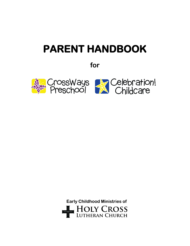# **PARENT HANDBOOK**

**for**



 **Early Childhood Ministries of**HOLY CROSS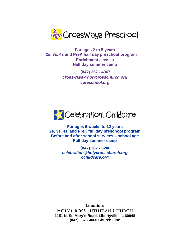

**For ages 2 to 5 years 2s, 3s, 4s and PreK half day preschool program Enrichment classes Half day summer camp**

> **(847) 367 - 4367** *crossways@holycrosschurch.org cpreschool.org*



**For ages 6 weeks to 12 years 2s, 3s, 4s, and PreK full day preschool program Before and after school services – school age Full day summer camp**

> **(847) 367 - 6208**  *celebration@holycrosschurch.org cchildcare.org*

**Location: HOLY CROSS LUTHERAN CHURCH 1151 N. St. Mary's Road, Libertyville, IL 60048 (847) 367 - 4060 Church Line**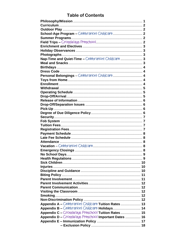# **Table of Contents**

| Nap-Time and Quiet-Time - Celebration! Childcare  3  |   |
|------------------------------------------------------|---|
|                                                      |   |
|                                                      |   |
|                                                      |   |
| Personal Belongings - Celebration! Childcare 4       |   |
|                                                      |   |
|                                                      |   |
|                                                      |   |
|                                                      |   |
|                                                      |   |
|                                                      |   |
|                                                      |   |
|                                                      |   |
|                                                      |   |
|                                                      |   |
|                                                      |   |
|                                                      |   |
|                                                      |   |
|                                                      |   |
|                                                      |   |
|                                                      |   |
|                                                      |   |
|                                                      |   |
|                                                      |   |
|                                                      |   |
|                                                      | 9 |
|                                                      |   |
|                                                      |   |
|                                                      |   |
|                                                      |   |
|                                                      |   |
|                                                      |   |
|                                                      |   |
|                                                      |   |
|                                                      |   |
|                                                      |   |
| Appendix A - Celebration! Childcare Tuition Rates 13 |   |
| Appendix B - Celebration! Childcare Holidays 14      |   |
| Appendix C - CrossWays Preschool Tuition Rates 15    |   |
| Appendix D - CrossWays Preschool Important Dates  16 |   |
|                                                      |   |
|                                                      |   |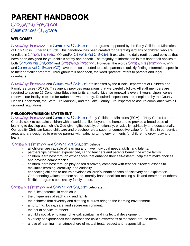# **PARENT HANDBOOK**

# CrossWays Preschool Celebration! Childcare

### **WELCOME!**

CrossWays Preschool and Celebration! Childcare are programs supported by the Early Childhood Ministries of Holy Cross Lutheran Church. This handbook has been created for parents/guardians of children who are enrolled in CrossWays Preschool and/or Celebration! Childcare. It explains the daily routines and policies that have been designed for your child's safety and benefit. The majority of information in this handbook applies to both Celebration! Childcare and CrossWays Preschool. However, the words CrossWays Preschool (CWP) and Celebration! Childcare (CC) have been color coded to assist parents in quickly finding information specific to their particular program. Throughout this handbook, the word "parents" refers to parents and legal guardians.

CrossWays Preschool and Celebration! Childcare are licensed by the Illinois Department of Children and Family Services (DCFS). This agency provides regulations that we carefully follow. All staff members are required to accrue 15 Continuing Education Units annually. License renewal is every 3 years. Upon license renewal, our facility is tested for radon and water purity. Required inspections are completed by the County Health Department, the State Fire Marshall, and the Lake County Fire Inspector to assure compliance with all required regulations.

#### **PHILOSOPHY/MISSION STATEMENT**

CrossWays Preschool and Celebration! Childcare, Early Childhood Ministries (ECM) of Holy Cross Lutheran Church, seek to acquaint children with a world that lies beyond the home and to provide a broad base of learning to develop each child's God-given gifts socially, emotionally, physically, spiritually and educationally. Our quality Christian-based childcare and preschool are a superior competitive value for families in our service area, and are designed to provide parents with safe, nurturing environments for children to grow, play and learn.

#### CrossWays Preschool and Celebration! Childcare believe…

- all children are capable of learning and have individual needs, skills, and talents.
- partnerships between experienced, caring teachers and parents benefit the whole family.
- children learn best through experiences that enhance their self-esteem, help them make choices, and develop competencies.
- children learn best through play-based discovery combined with teacher-directed lessons to maximize learning, creativity, and curiosity.
- connecting children to nature develops children's innate senses of discovery and exploration.
- God-honoring values promote sound, morally based decision-making skills and treatment of others.
- flexible programs best satisfy family needs.

#### CrossWays Preschool and Celebration! Childcare celebrate…

- the fullest potential in each child.
- the uniqueness of each child and family.
- the richness that diversity and differing cultures bring to the learning environment.
- a nurturing, loving, safe, and secure environment.
- the act of service to others.
- a child's social, emotional, physical, spiritual, and intellectual development.
- a variety of experiences that increase the child's awareness of the world around them.
- a love of learning in an atmosphere of mutual trust, respect and responsibility.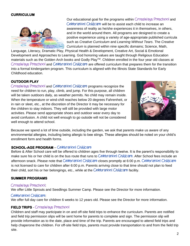#### **CURRICULUM**



Our educational goal for the programs within CrossWays Preschool and Celebration! Childcare will be to assist each child to increase an awareness of reality as he/she experiences it in themselves, in others, and in the world around them. All programs are designed to create a positive experience using a variety of age-appropriate published curricula such as *Creative Curriculum* and *Learning Without Tears*. The *Creative Curriculum* is planned within nine specific domains; Science, Math,

Language, Literacy, Dramatic Play, Physical Health & Development, Creative Art, Social & Emotional Development and Approaches to Learning. God honoring values are taught through Religious Education materials such as the Golden Arch books and Godly Play™. Children enrolled in the four year old classes at CrossWays Preschool and Celebration! Childcare are offered curriculum that prepares them for the transition into a formal kindergarten program. This curriculum is aligned with the Illinois State Standards for Early Childhood education.

#### **OUTDOOR PLAY**

CrossWays Preschool and Celebration! Childcare programs recognize the need for children to run, play, climb, and jump. For this purpose, all children will be taken outdoors daily, as weather permits. No child may remain inside. When the temperature or wind-chill reaches below 20 degrees Fahrenheit, or in rain or sleet, etc., at the discretion of the Director it may be necessary for the children to stay indoors. They will still be provided with large motor activities. Please send appropriate shoes and outdoor wear every day to avoid confusion. A child not well enough to go outside will not be considered well enough to attend school.



Because we spend a lot of time outside, including the garden, we ask that parents make us aware of any environmental allergies, including being allergic to bee stings. These allergies should be noted on your child's enrollment form and health forms.

#### **SCHOOL-AGE PROGRAM** – Celebration! Childcare

Before & After School care will be offered to children ages five through twelve. It is the parent's responsibility to make sure his or her child is on the bus route that runs to Celebration! Childcare. After School fees include an afternoon snack. Please note that Celebration! Childcare closes promptly at 6:00 p.m. Celebration! Childcare is not licensed to care for children after 6:00 p.m. Parents arriving close to that time should not plan to feed their child, sort his or her belongings, etc., while at the Celebration! Childcare facility.

#### **SUMMER PROGRAMS**

#### CrossWays Preschool:

We offer Little Sprouts and Seedlings Summer Camp. Please see the Director for more information.

#### Celebration! Childcare:

We offer full day care for children 6 weeks to 12 years old. Please see the Director for more information.

#### **FIELD TRIPS** - CrossWays Preschool

Children and staff may participate in on and off-site field trips to enhance the curriculum. Parents are notified and field trip permission slips will be sent home for parents to complete and sign. The permission slip will provide information as to the date, place and time of the trip. Parents are encouraged to attend field trips and help chaperone the children. For off-site field trips, parents must provide transportation to and from the field trip site.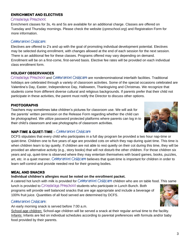### **ENRICHMENT AND ELECTIVES**

#### CrossWays Preschool:

Enrichment classes for 3s, 4s and 5s are available for an additional charge. Classes are offered on Tuesday and Thursday mornings. Please check the website (*cpreschool.org*) and Registration Form for more information.

### Celebration! Childcare:

Electives are offered to 2's and up with the goal of promoting individual development potential. Electives may be selected during enrollment, with changes allowed at the end of each session for the next session. There is an additional fee for these classes. Programs offered may vary depending on demand. Enrollment will be on a first-come, first-served basis. Elective fee rates will be provided on each individual class enrollment form.

### **HOLIDAY OBSERVANCES**

CrossWays Preschool and Celebration! Childcare are nondenominational interfaith facilities. Traditional holidays are celebrated through a variety of classroom activities. Some of the special occasions celebrated are Valentine's Day, Easter, Independence Day, Halloween, Thanksgiving and Christmas. We recognize that students come from different diverse cultural and religious backgrounds. If parents prefer that their child not participate in these activities, the parent must notify the Director to discuss other options.

## **PHOTOGRAPHS**

Teachers may sometimes take children's pictures for classroom use. We will ask for the parents' written permission on the Release Form regarding whether the child can be photographed. We utilize password protected platforms where parents can log in to their child's classroom and see photographs of classroom activities.



# **NAP-TIME & QUIET-TIME** – Celebration! Childcare

DCFS stipulates that every child who participates in a full day program be provided a two hour nap-time or quiet-time. Children one to five years of age are provided cots on which they nap during quiet time. This time is when children learn to lay quietly. If children are not able to rest quietly on their cot during this time, they will be provided an alternative activity (e.g., story books) that will not disturb the other children. For those children six years and up, quiet-time is observed where they may entertain themselves with board games, books, puzzles, art, etc. in a quiet manner. Celebration! Childcare believes that quiet-time is important for children in order to learn self-control and provide needed rest for their growing bodies.

### **MEAL AND SNACKS**

#### **Individual children's allergies must be noted on the enrollment packet.**

A catered hot lunch with milk is provided for Celebration! Childcare children who are on table food. This same lunch is provided to CrossWays Preschool students who participate in Lunch Bunch. Both

programs will provide well balanced snacks that are age appropriate and include a beverage of 100% fruit juice. Quantities of all food served are determined by DCFS.

### Celebration! Childcare:

An early morning snack is served before 7:00 a.m.

School-age children: School-age children will be served a snack at their regular arrival time to the facility. Infants: Infants are fed on individual schedules according to parental preferences with formula and/or baby food provided by their parents.

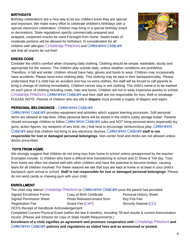#### **BIRTHDAYS**

Birthday celebrations are a nice way to let our children know they are special and important. We make every effort to celebrate children's birthdays with a special classroom celebration. Children may bring in a special birthday snack or decorations. State regulations specify commercially prepared and wrapped, unopened snacks be used if brought from home. Sweet treats of moderate portions will be allowed for birthdays. In consideration for all children with allergies, CrossWays Preschool and Celebration! Childcare ask that all snacks be nut-free!



#### **DRESS CODE**

Consider the child's comfort when choosing daily clothing. Clothing should be simple, washable, sturdy and appropriate for the season. The children play outside daily, unless weather conditions are prohibitive. Therefore, in fall and winter, children should have hats, gloves and boots to wear. Children may occasionally have accidents. Please send extra clothing daily. This clothing may be kept in their backpack/cubby. Please understand that if a child has an accident and has no extra clothes, the staff will be forced to call parents to bring a change of clothing immediately. Children cannot stay in wet clothing. The child's name is to be marked on each piece of clothing including coats, hats and boots. Children are not to wear expensive jewelry to school. CrossWays Preschool**,** Celebration! Childcare and their staff are not responsible for loss, theft or breakage. PLEASE NOTE: Parents of children who are still in **diapers** must provide a supply of diapers and wipes.

#### **PERSONAL BELONGINGS** – Celebration! Childcare

Celebration! Childcare provides equipment and activities which support learning processes. Soft personal items are allowed at nap-time. Other personal items will be stored in the child's cubby storage locker. Parents should encourage children to follow Celebration! Childcare rules and NOT bring personal items (especially toy guns, action figures, toy weapons of any kind, etc.) that tend to encourage rambunctious play. Celebration! Childcare asks that children not bring in any electronic devices. Celebration! Childcare **staff is not responsible for lost or damaged personal belongings**. Non-center food and drinks are not allowed unless doctor prescribed.

#### **TOYS FROM HOME**

We strongly suggest that children do not bring toys from home to school unless preapproved by the teacher. Examples include: 1) children who have a difficult time transitioning to school and 2) Show & Tell day. Toys from home are often not shared well with other children and have the potential to become broken, causing tears for all children involved. For these reasons we ask that toys are kept at home or at least in your child's backpack upon arrival to school. **Staff is not responsible for lost or damaged personal belongings**. Please do not send candy or chewing gum with your child.

#### **ENROLLMENT**

The child may attend CrossWays Preschool or Celebration! Childcare once the parent has provided:

Signed Enrollment Forms **Copy of Birth Certificate** Personal History Sheet

Signed Permission Sheet Photo Release/consent form Key Fob Fee Registration Fee Snack Fee (CWP) Security Deposit (CC)

DCFS Receipt of Handbook Acknowledgement

Completed Current Physical Exam (within the last 6 months), including TB test results & current immunization record. (Please ask Director for copy of State Health Requirements.)

Enrollment of a child signifies an agreement and promises cooperation with CrossWays Preschool and Celebration! Childcare **policies and regulations as stated here and as announced or posted.**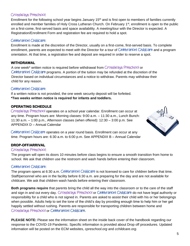#### CrossWays Preschool:

Enrollment for the following school year begins January 15<sup>th</sup> and is first open to members of families currently enrolled and member families of Holy Cross Lutheran Church. On February 1<sup>st</sup>, enrollment is open to the public on a first-come, first-served basis and space availability. A meeting/tour with the Director is expected. A Registration/Enrollment Form and registration fee are required to hold a spot.

#### Celebration! Childcare:

#### Enrollment is made at the discretion of the Director, usually on a first-come, first-served basis. To complete enrollment, parents are expected to meet with the Director for a tour of Celebration! Childcare and a program orientation. At that time, a registration fee and deposit are required in order to reserve a spot.

#### **WITHDRAWAL**

A one week\* written notice is required before withdrawal from CrossWays Preschool or Celebration! Childcare programs. A portion of the tuition may be refunded at the discretion of the Director based on individual circumstances and a notice to withdraw. Parents may withdraw their child for any reason.

#### Celebration! Childcare:

If a written notice is not provided, the one week security deposit will be forfeited. **\*Two weeks written notice is required for infants and toddlers.** 

#### **OPERATING SCHEDULE**

CrossWays Preschool operates on a school year calendar. Enrollment can occur at any time. Program hours are: Morning classes: 9:00 a.m. – 11:30 a.m., Lunch Bunch: 11:30 a.m. – 1:00 p.m., Afternoon classes (when offered): 12:30 – 3:00 p.m. See APPENDIX D – Annual Calendar



#### **DROP-OFF/ARRIVAL**

#### CrossWays Preschool:

The program will open its doors 10 minutes before class begins to ensure a smooth transition from home to school. We ask that children use the restroom and wash hands before entering their classroom.

#### Celebration! Childcare:

The program opens at 6:30 a.m. Celebration! Childcare is not licensed to care for children before that time. Staff/personnel who are in the facility before 6:30 a.m. are preparing for the day and are not available for childcare. We ask that children wash hands before entering their classroom.

**Both programs require** that parents bring the child all the way into the classroom or to the care of the staff and sign in and out every day. CrossWays Preschool or Celebration! Childcare do not have legal authority or responsibility for a child who is not signed in. Parents are asked to assist their child with his or her belongings when possible. Adults help to set the tone of the child's day by providing enough time to help him or her get happily settled without rushing. Parents are responsible for transporting children between home and CrossWays Preschool or Celebration! Childcare.

**PLEASE NOTE:** Please see the information sheet on the inside back cover of the handbook regarding our response to the COVID-19 Pandemic. Specific information is provided about Drop off procedures. Updated information will be posted on the ECM websites, *cpreschool.org* and *cchildcare.org*.

**AT 23** 

5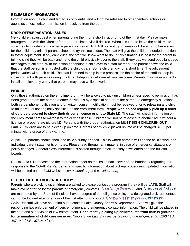#### **RELEASE OF INFORMATION**

Information about a child and family is confidential and will not be released to other centers, schools or agencies unless written permission is received from the parent.

#### **DROP-OFF/SEPARATION ISSUES**

New children adjust best when parents bring them for a short visit prior to of their first day. Please make arrangements with the Director for a pre-enrollment visit if desired. When it is time to leave the child, make sure the child understands when a parent will return. PLEASE do not try to sneak out. Later on, other issues for the child may arise if parents choose to try this technique. The staff will give the child the needed attention to foster adjustment. If any child cries, the staff will know what to do. In this situation it is best for the parent to tell the child they will be back and hand the child physically over to the staff. Every day we send body language messages to children. With the action of handing a child over to a staff member, the parent shows the child that the staff person is entrusted with the child's care. Some children cry for a short time. The adjustment period varies with each child. The staff is trained to help in this process. It's the desire of the staff to keep in close contact with parents during this time. Telephone calls are always welcome. Parents may make a checkin call to relieve any worry that parents may have while at work.

### **PICK-UP**

Only those authorized on the enrollment form will be allowed to pick up children unless specific permission has been granted from the parent to other individuals by a special note from the parent. In emergency situations, both verbal phone notification and/or written consent notification must be received prior to releasing any child to an individual not originally specified on the enrollment form. **People who do not regularly pick up a child should be prepared to show their driver's license or photo State I.D.** The staff will check information on the enrollment cards to match it to the driver's license. Children will not be released to another adult without a license or proper state picture I.D. Persons with the proper authorization **MUST SIGN CHILDREN OUT DAILY.** Children are to be picked up on time. Parents of any child picked up late will be charged \$1.00 per minute with a grace of one warning.

At pick-up, parents should check the child's cubby or hook. This is where parents will find the child's work and individual parent statements or notes. Please read through any material in case of emergency situations or policy changes. General class information is posted through email, monthly newsletters and the bulletin boards.

**PLEASE NOTE:** Please see the information sheet on the inside back cover of the handbook regarding our response to the COVID-19 Pandemic and specific information about pick-up procedures. Updated information will be posted on the ECM websites, *cpreschool.org* and *cchildcare.org*.

### **DEGREE OF DUE DILIGENCE POLICY**

Parents who are picking up children are asked to please contact the program if they will be LATE. Staff will make every effort to locate parents or emergency contacts. CrossWays Preschool and Celebration! Childcare are mandated by the State of Illinois to have a degree of due diligence policy. If a designated pick–up contact cannot be located after one hour of the first attempt of contact, CrossWays Preschool or Celebration! Childcare staff will have no option but to contact Lake County Sheriff's Department. Staff will give the responding law enforcement officers enrollment and emergency contact information. The child will be placed in the care and supervision of law enforcement. **Consistently picking up children late from care is grounds for termination of child care services.** *Illinois State Law Statutes pertaining to due diligence: 407.260.f.1.A, 407.260.f.1.B, 407.260.f.1.C*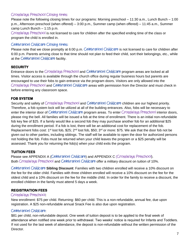#### CrossWays Preschool Closing times:

Please note the following closing times for our programs: Morning preschool – 11:30 a.m., Lunch Bunch – 1:00 p.m., Afternoon preschool (when offered) – 3:00 p.m., Summer camp (when offered) – 11:45 a.m., Summer camp Lunch Bunch – 1:15 p.m.

CrossWays Preschool is not licensed to care for children after the specified ending time of the class or program the child is enrolled in.

#### Celebration! Childcare Closing times**:**

Please note that we close promptly at 6:00 p.m. Celebration! Childcare is not licensed to care for children after 6:00 p.m. Parents arriving close to that time should not plan to feed their child, sort their belongings, etc., while at the Celebration! Childcare facility.

#### **SECURITY**

Entrance doors to the CrossWays Preschool and Celebration! Childcare program areas are locked at all times. Visitor access is available through the church office during regular business hours but parents are encouraged to use their fobs to gain entrance via the program doors. Visitors are only allowed into the CrossWays Preschool and Celebration! Childcare areas with permission from the Director and must check in before entering any classroom space.

#### **FOB SYSTEM**

Security and safety of CrossWays Preschool and Celebration! Childcare children are our highest priority. Therefore, a fob system lock will be utilized at all of the building entrances. Also, fobs will be necessary to enter the interior door of Celebration! Childcare program areas. To enter CrossWays Preschool interior doors, please ring the bell. All families will be issued a fob at the time of enrollment. There is an initial non-refundable fob key fee of \$25. If a family would like a second fob they may purchase another fob for an additional \$25 during the enrollment period. If a fob is lost, there will be an additional cost for replacement of the fob. Replacement fobs cost: 1<sup>st</sup> lost fob, \$25; 2<sup>nd</sup> lost fob, \$50; 3<sup>rd</sup> or more: \$75. We ask that the door fob not be given out to other parties, including siblings. The staff will be available to open the door for authorized persons not holding the fob. Fobs must be returned when your child leaves the program or a \$25 penalty will be assessed. Thank you for returning the fob(s) when your child exits the program.

#### **TUITION FEES**

Please see APPENDIX A (Celebration! Childcare) and APPENDIX C (CrossWays Preschool). Both CrossWays Preschool and Celebration! Childcare offer a military discount on tuition of 10%.

Celebration! Childcare **Sibling Discount**: Families with two children enrolled will receive a 10% discount on the fee for the older child. Families with three children enrolled will receive a 10% discount on the fee for the oldest child and a 10% discount on the fee for the middle child. In order for the family to receive a discount, the enrolled children in the family must attend 5 days a week.

#### **REGISTRATION FEES**

#### CrossWays Preschool**:**

New enrollment: \$75 per child. Returning: \$60 per child. This is a non-refundable, annual fee, due upon registration. A \$25 non-refundable annual Snack Fee is also due upon registration.

#### Celebration! Childcare:

\$81 per child, non-refundable deposit. One week of tuition deposit is to be applied to the final week of attendance when notified one week prior to withdrawal. Two weeks' notice is required for Infants and Toddlers. If not used for the last week of attendance, the deposit is non-refundable without the written permission of the Director.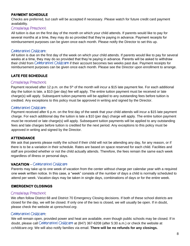#### **PAYMENT SCHEDULE**

Checks are preferred, but cash will be accepted if necessary. Please watch for future credit card payment availability.

#### CrossWays Preschool:

All tuition is due on the first day of the month on which your child attends. If parents would like to pay for several months at a time, they may do so provided that they're paying in advance. Payment receipts for reimbursement purposes can be given once each month. Please notify the Director to set this up.

#### Celebration! Childcare:

All tuition is due on the first day of the week on which your child attends. If parents would like to pay for several weeks at a time, they may do so provided that they're paying in advance. Parents will be asked to withdraw their child from Celebration! Childcare if their account becomes two weeks past due. Payment receipts for reimbursement purposes can be given once each month. Please see the Director upon enrollment to arrange.

### **LATE FEE SCHEDULE**

#### CrossWays Preschool**:**

Payment received after 12 p.m. on the 5<sup>th</sup> of the month will incur a \$15 late payment fee. For each additional day the tuition is late, a \$10 (per day) fee will apply. The entire tuition payment must be received or late charge(s) will apply. Subsequent tuition payments will be applied to any outstanding fees before tuition is credited. Any exceptions to this policy must be approved in writing and signed by the Director.

#### Celebration! Childcare:

Payment received after 6 p.m. on the first day of the week that your child attends will incur a \$15 late payment charge. For each additional day the tuition is late a \$10 (per day) charge will apply. The entire tuition payment must be received or late charge(s) will apply. Subsequent tuition payments will be applied to any outstanding fees and late charges before tuition is credited for the next period. Any exceptions to this policy must be approved in writing and signed by the Director.

#### **ATTENDANCE**

We ask that parents please notify the school if their child will not be attending any day, for any reason, or if there is to be a variation in their schedule. Rates are based on space reserved for each child. Facilities and staff are provided whether or not the child actually attends. Therefore, the fees remain the same each week regardless of illness or personal days.

#### **VACATION** – Celebration! Childcare

Parents may take up to one week of vacation from the center without charge per calendar year with a required one week written notice. In this case, a "week" consists of the number of days a child is normally scheduled to attend per week. Vacation days may be taken in single days, combinations of days or for the entire week.

#### **EMERGENCY CLOSINGS**

#### CrossWays Preschool:

We often follow District 68 and District 70 Emergency Closing decisions. If both of these school districts are closed for the day, we will be closed. If only one of the two is closed, we will usually be open. If in doubt, please check the website at *cpreschool.org*.

#### Celebration! Childcare:

We will remain open, provided power and heat are available, even though public schools may be closed. If in doubt, please call Celebration! Childcare at (847) 367-6208 (after 5:30 a.m.) or check the website at *cchildcare.org.* We will also notify families via email. **There will be no refunds for any closings.**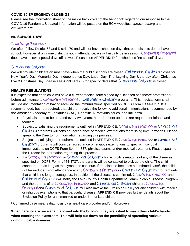#### **COVID-19 EMERGENCY CLOSINGS**

Please see the information sheet on the inside back cover of the handbook regarding our response to the COVID-19 Pandemic. Updated information will be posted on the ECM websites, *cpreschool.org* and *cchildcare.org*.

### **NO SCHOOL DAYS**

#### CrossWays Preschool:

We often follow District 68 and District 70 and will not have school on days that both districts do not have school. However, if only one district is not in attendance, we will usually be in session. CrossWays Preschool does have its own special days off as well. Please see APPENDIX D for scheduled "no school" days.

#### Celebration! Childcare:

We will provide childcare on most days when the public schools are closed. Celebration! Childcare closes for New Year's Day, Memorial Day, Independence Day, Labor Day, Thanksgiving Day & the day after, Christmas Eve & Christmas Day. Please see APPENDIX B for specific dates that Celebration! Childcare is closed.

#### **HEALTH REGULATIONS**

It is expected that each child will have a current medical form signed by a licensed healthcare professional before admittance to CrossWays Preschool or Celebration! Childcare programs. This medical form shall include documentation of having received the immunizations specified on DCFS Form IL444-4737. It is recommended, but not required, that children receive the following additional immunizations recommended by the American Academy of Pediatrics (AAP): Hepatitis A, rotavirus series, and influenza.

- Physicals need to be updated every two years. More frequent updates are required for infants and toddlers.
- Subject to satisfying the requirements outlined in APPENDIX E, CrossWays Preschool or Celebration! Childcare programs will consider acceptance of medical exemptions for missing immunizations. Please speak to the Director for information regarding this process.
- Subject to satisfying the requirements outlined in APPENDIX E, CrossWays Preschool or Celebration! Childcare programs will consider acceptance of religious exemptions to specific individual immunizations on DCFS Form IL444-4737, physical exams and/or medical treatment. Please speak to the Director for information regarding this process.
- If a CrossWays Preschool or Celebration! Childcare child exhibits symptoms of any of the diseases specified on DCFS Form IL444-4737, the parents will be contacted to pick up the child. The child cannot return as long as the symptoms continue. If the disease becomes a confirmed case<sup>1</sup>, the child will be excluded from attendance at any CrossWays Preschool or Celebration! Childcare program until that child is no longer contagious. In addition, if the disease is confirmed, CrossWays Preschool and Celebration! Childcare will notify the Lake County Health Department Communicable Disease Program and the parents of all CrossWays Preschool and Celebration! Childcare children. CrossWays Preschool and Celebration! Childcare will also invoke the Exclusion Policy for any children with medical or religious exemptions to that particular disease. **APPENDIX E** provides further details about the Exclusion Policy for unimmunized or under-immunized children.

<sup>1</sup> Confirmed case means diagnosis by a healthcare provider and/or lab-proven.

**When parents are once again allowed into the building, they are asked to wash their child's hands when entering the classroom. This will help cut down on the possibility of spreading various communicable diseases.**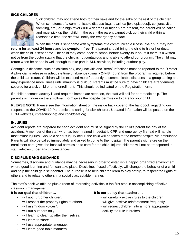#### **SICK CHILDREN**



Sick children may not attend both for their sake and for the sake of the rest of the children. When symptoms of a communicable disease (e.g., diarrhea [two episodes]), conjunctivitis, vomiting, etc.) or a high fever (100.4 degrees or higher) are present, the parent will be called and must pick up their child. In the event the parent cannot pick up their child within a reasonable time, the staff will notify the emergency contact.

When the child is sent home with symptoms of a communicable illness, **the child may not return for at least 24 hours and be symptom free.** The parent should bring the child to his or her doctor when the child is sent home. The child may come back to school before twenty-four hours if there is a written notice from the doctor stating that the child is not contagious and is able to attend our program. The child may return when he or she is well enough to take part in **ALL** activities, including outdoor play.

Contagious diseases such as chicken pox, conjunctivitis and "strep" infections must be reported to the Director. A physician's release or adequate time of absence (usually 24-48 hours) from the program is required before the child can return. Children will be exposed more frequently to communicable diseases in a group setting and may experience more illness until immunity is built up. Parents must be sure to have childcare arrangements secured for a sick child prior to enrollment. This should be indicated on the Registration form.

If a child becomes acutely ill and requires immediate attention, the staff will call for paramedic help. The parent's signature on the enrollment form gives the hospital permission to care for your child.

**PLEASE NOTE**: Please see the information sheet on the inside back cover of the handbook regarding our response to the COVID-19 Pandemic and caring for sick children. Updated information will be posted on the ECM websites, *cpreschool.org* and *cchildcare.org*.

#### **INJURIES**

Accident reports are prepared for each accident and must be signed by the child's parent the day of the accident. A member of the staff who has been trained in pediatric CPR and emergency first-aid will handle most minor injuries. Should a serious injury occur, the child will be taken to the nearest hospital via ambulance. Parents will also be called immediately and asked to come to the hospital. The parent's signature on the enrollment card gives the hospital permission to care for the child. Injured children will not be transported in staff vehicles under any circumstances.

#### **DISCIPLINE AND GUIDANCE**

Sometimes, discipline and guidance may be necessary in order to establish a happy, organized environment where good learning and fun can take place. Discipline, if used effectively, will change the behavior of a child and help the child gain self-control. The purpose is to help children learn to play safely, to respect the rights of others and to relate to others in a socially acceptable manner.

The staff's positive attitude plus a room of interesting activities is the first step in accomplishing effective classroom management.

- 
- 
- 
- 
- will learn to clean up after themselves.
- will learn to share.
- will use appropriate language.
- will learn good table manners.

#### **It is our goal that children… It is our policy that teachers…**

- will not hurt other children.  $\blacksquare$  will carefully explain rules to the children.
- will respect the property rights of others. will give positive reinforcement frequently.
- will use "indoor voices".  $\blacksquare$  will redirect children into a more appropriate will run outdoors only.  $\qquad \qquad$  activity if a rule is broken.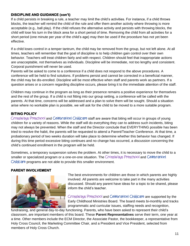#### **DISCIPLINE AND GUIDANCE (con't)**

If a child persists in breaking a rule, a teacher may limit the child's activities. For instance, if a child throws blocks, the teacher will remind the child of the rule and offer them another activity where throwing is more acceptable (e.g., ball play). If the child refuses the alternative activity and persists with throwing blocks, the child will lose his turn in the block area for a short period of time. Removing the child from all activities for a short period (one minute per year of the child's age) may then be used if the procedure has not yet been effective.

If a child loses control in a temper tantrum, the child may be removed from the group, but not left alone. At all times, teachers will remember that the goal of discipline is to help children gain control over their own behavior. Teachers will treat children fairly and with respect. Children should feel that inappropriate actions are unacceptable, not themselves as individuals. Discipline will be immediate, not too lengthy and consistent. Corporal punishment will never be used.

Parents will be asked to come to a conference if a child does not respond to the above procedures. A conference will be held to find solutions. If problems persist and cannot be corrected in a beneficial manner, the child may be dis-enrolled. Discipline will be most effective when staff and parents work as partners. If a question arises or a concern regarding discipline occurs, please bring it to the immediate attention of the staff.

Children may continue in the program as long as their presence remains a positive experience for themselves and the rest of the group. If a child is not fitting into our group setting, a conference will be called with the parents. At that time, concerns will be addressed and a plan to solve them will be sought. Should a situation arise where no workable plan is possible, we will ask for the child to be moved to a more suitable program.

#### **BITING POLICY**

CrossWays Preschool and Celebration! Childcare staff are aware that biting will occur in groups of young children for a variety of reasons. While the staff will do everything they can to address such incidents, biting may not always be prevented. When the staff and the Director conclude that EVERYTHING possible has been tried to resolve the habit, the parents will be requested to attend a Parent/Teacher Conference. At that time, a probationary period of two weeks duration will take place to determine whether this behavior has changed. If during this time period excessive biting continues and no change has occurred, a discussion concerning the child's continued enrollment in the program will be held.

Sometimes, a temporary suspension solves the problem. At other times, it is necessary to move the child to a smaller or specialized program or a one-on-one situation. The CrossWays Preschool and Celebration! Childcare programs are not able to provide this smaller environment.

#### **PARENT INVOLVEMENT**



The best environments for children are those in which parents are highly involved. All parents are welcome to take part in the many activities discussed. Should any parent have ideas for a topic to be shared, please inform the child's teacher.

CrossWays Preschool and Celebration! Childcare are supported by the Early Childhood Ministries Board. The board meets bi-monthly and tracks programmatic and curricular issues, staffing needs and recognition,

fundraising, and general day-to-day functioning. Parents, who have been asked to represent their child's classroom, are important members of this board. These **Parent Representatives** serve their term, one year at a time. Other members include the ECM Director, the Associate Pastor, the bookkeeper, a representative from Holy Cross Council, the Marketing Committee Chair, and a President and Vice President, selected from members of Holy Cross Church.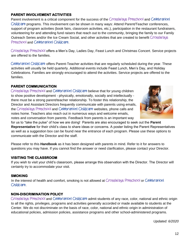#### **PARENT INVOLVEMENT ACTIVITIES**

Parent involvement is a critical component for the success of the CrossWays Preschool and Celebration! Childcare programs. This involvement can be shown in many ways: Attend Parent/Teacher conferences, support of program activities (book fairs, classroom activities, etc.), participation in the restaurant fundraisers, volunteering for and attending fund raisers that reach out to the community, bringing the family to our Family Outreach Series and/or the Ice Cream Social, and other activities that are created to benefit CrossWays Preschool and Celebration! Childcare.

CrossWays Preschool offers a Men's Day, Ladies Day, Feast Lunch and Christmas Concert. Service projects are offered to the families.

Celebration! Childcare offers Parent-Teacher activities that are regularly scheduled during the year. These activities will usually be held quarterly. Additional events include Feast Lunch, Men's Day, and Holiday Celebrations. Families are strongly encouraged to attend the activities. Service projects are offered to the families.

#### **PARENT COMMUNICATION**

CrossWays Preschool and Celebration! Childcare believe that for young children to show positive development - physically, emotionally, socially and intellectually there must be a strong parent/teacher relationship. To foster this relationship, the Director and Assistant Directors frequently communicate with parents using emails, the CrossWays Preschool and Celebration! Childcare websites, phone calls and notes home. Teachers also reach out in numerous ways and welcome emails, notes and conversation from parents. Feedback from parents is an important way



for us to "take the pulse" of how we are doing! Parents are also encouraged to seek out the **Parent Representative** for their child's class to share ideas or concerns. A poster listing the Parent Representatives as well as a suggestion box can be found near the entrance of each program. Please use these options to communicate with the Director and the staff.

Please refer to this **Handbook** as it has been designed with parents in mind. Refer to it for answers to questions you may have. If you cannot find the answer or need clarification, please contact your Director.

#### **VISITING THE CLASSROOM**

If you wish to visit your child's classroom, please arrange this observation with the Director. The Director will certainly try to accommodate your visit.

#### **SMOKING**

In the interest of health and comfort, smoking is not allowed at CrossWays Preschool or Celebration! Childcare.

#### **NON-DISCRIMINATION POLICY**

CrossWays Preschool and Celebration! Childcare admit students of any race, color, national and ethnic origin to all the rights, privileges, programs and activities generally accorded or made available to students at the Center. We do not discriminate on the basis of race, color, national and ethnic origin in administration of educational policies, admission policies, assistance programs and other school-administered programs.

*Updated: 6/2020*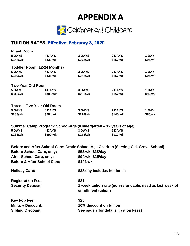# **APPENDIX A**



# **TUITION RATES: Effective: February 3, 2020**

| <b>Infant Room</b>                     |               |                     |                                                                                    |         |  |  |
|----------------------------------------|---------------|---------------------|------------------------------------------------------------------------------------|---------|--|--|
| <b>5 DAYS</b>                          | <b>4 DAYS</b> | <b>3 DAYS</b>       | <b>2 DAYS</b>                                                                      | 1 DAY   |  |  |
| \$352/wk                               | \$332/wk      | \$275/wk            | \$167/wk                                                                           | \$94/wk |  |  |
| Toddler Room (12-24 Months)            |               |                     |                                                                                    |         |  |  |
| <b>5 DAYS</b>                          | <b>4 DAYS</b> | <b>3 DAYS</b>       | 2 DAYS                                                                             | 1 DAY   |  |  |
| \$349/wk                               | \$331/wk      | \$262/wk            | \$167/wk                                                                           | \$94/wk |  |  |
| <b>Two Year Old Room</b>               |               |                     |                                                                                    |         |  |  |
| <b>5 DAYS</b>                          | <b>4 DAYS</b> | <b>3 DAYS</b>       | <b>2 DAYS</b>                                                                      | 1 DAY   |  |  |
| \$315/wk                               | \$305/wk      | \$230/wk            | \$152/wk                                                                           | \$92/wk |  |  |
| Three - Five Year Old Room             |               |                     |                                                                                    |         |  |  |
| <b>5 DAYS</b>                          | <b>4 DAYS</b> | <b>3 DAYS</b>       | <b>2 DAYS</b>                                                                      | 1 DAY   |  |  |
| \$288/wk                               | \$284/wk      | \$214/wk            | \$145/wk                                                                           | \$85/wk |  |  |
|                                        |               |                     |                                                                                    |         |  |  |
| <b>5 DAYS</b>                          | <b>4 DAYS</b> | <b>3 DAYS</b>       | Summer Camp Program: School-Age (Kindergarten – 12 years of age)<br>2 DAYS         |         |  |  |
| \$233/wk                               | \$209/wk      | \$175/wk            | \$117/wk                                                                           |         |  |  |
|                                        |               |                     |                                                                                    |         |  |  |
|                                        |               |                     | Before and After School Care: Grade School Age Children (Serving Oak Grove School) |         |  |  |
| <b>Before-School Care, only:</b>       |               |                     | \$53/wk; \$18/day                                                                  |         |  |  |
| After-School Care, only:               |               |                     | \$94/wk; \$25/day                                                                  |         |  |  |
| <b>Before &amp; After School Care:</b> |               | \$144/wk            |                                                                                    |         |  |  |
| <b>Holiday Care:</b>                   |               |                     | \$38/day includes hot lunch                                                        |         |  |  |
| <b>Registration Fee:</b>               |               | \$81                |                                                                                    |         |  |  |
| <b>Security Deposit:</b>               |               |                     | 1 week tuition rate (non-refundable, used as last week of                          |         |  |  |
|                                        |               | enrollment tuition) |                                                                                    |         |  |  |
| <b>Key Fob Fee:</b>                    |               | \$25                |                                                                                    |         |  |  |
| <b>Military Discount:</b>              |               |                     | 10% discount on tuition                                                            |         |  |  |
| <b>Sibling Discount:</b>               |               |                     | See page 7 for details (Tuition Fees)                                              |         |  |  |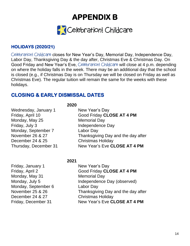**APPENDIX B** 



# **HOLIDAYS (2020/21)**

Celebration! Childcare closes for New Year's Day, Memorial Day, Independence Day, Labor Day, Thanksgiving Day & the day after, Christmas Eve & Christmas Day. On Good Friday and New Year's Eve, Celebration! Childcare will close at 4 p.m. depending on where the holiday falls in the week. There may be an additional day that the school is closed (e.g., if Christmas Day is on Thursday we will be closed on Friday as well as Christmas Eve). The regular tuition will remain the same for the weeks with these holidays.

# **CLOSING & EARLY DISMISSAL DATES**

**2020**

**2021**

Wednesday, January 1 New Year's Day Monday, May 25 Memorial Day Friday, July 3 **Independence Day** Monday, September 7 Labor Day December 24 & 25 Christmas Holiday

Friday, April 10 Good Friday **CLOSE AT 4 PM** November 26 & 27 Thanksgiving Day and the day after Thursday, December 31 New Year's Eve **CLOSE AT 4 PM**

# Friday, January 1 New Year's Day Monday, May 31 Memorial Day Monday, September 6 Labor Day December 24 & 27 Christmas Holiday

Friday, April 2 Good Friday **CLOSE AT 4 PM** Monday, July 5 **Independence Day (observed)** November 25 & 26 Thanksgiving Day and the day after Friday, December 31 New Year's Eve **CLOSE AT 4 PM**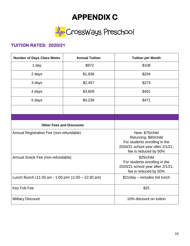# **APPENDIX C**



# **TUITION RATES: 2020/21**

| <b>Number of Days Class Meets</b>                  | <b>Annual Tuition</b>                                                                                                                   | <b>Tuition per Month</b>      |  |
|----------------------------------------------------|-----------------------------------------------------------------------------------------------------------------------------------------|-------------------------------|--|
| 1 day                                              | \$972                                                                                                                                   | \$108                         |  |
| 2 days                                             | \$1,836                                                                                                                                 | \$204                         |  |
| 3 days                                             | \$2,457                                                                                                                                 | \$273                         |  |
| 4 days                                             | \$3,609                                                                                                                                 | \$401                         |  |
| 5 days                                             | \$4,239                                                                                                                                 | \$471                         |  |
|                                                    |                                                                                                                                         |                               |  |
|                                                    |                                                                                                                                         |                               |  |
| <b>Other Fees and Discounts</b>                    |                                                                                                                                         |                               |  |
| Annual Registration Fee (non-refundable)           | New: \$75/child<br>Returning: \$60/child<br>For students enrolling in the<br>2020/21 school year after 2/1/21,<br>fee is reduced by 50% |                               |  |
| Annual Snack Fee (non-refundable)                  | \$25/child<br>For students enrolling in the<br>2020/21 school year after 2/1/21,<br>fee is reduced by 50%                               |                               |  |
| Lunch Bunch (11:30 am - 1:00 pm/ 11:00 - 12:30 pm) |                                                                                                                                         | \$21/day - includes hot lunch |  |
| Key Fob Fee                                        |                                                                                                                                         | \$25                          |  |
| <b>Military Discount</b>                           | 10% discount on tuition                                                                                                                 |                               |  |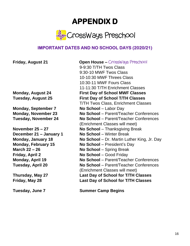# **APPENDIX D**



# **IMPORTANT DATES AND NO SCHOOL DAYS (2020/21)**

**Monday, September 7 No School** – Labor Day **Monday, November 23 Tuesday, November 24** 

**December 21 – January 1 No School – Winter Break March 22 – 26 No School** – Spring Break **Friday, April 2 Monday, April 19 Tuesday, April 20**

**Thursday, May 27 Friday, May 28**

**Tuesday, June 7**

**Friday, August 21 Open House –** CrossWays Preschool 9-9:30 T/TH Twos Class 9:30-10 MWF Twos Class 10-10:30 MWF Threes Class 10:30-11 MWF Fours Class 11-11:30 T/TH Enrichment Classes **Monday, August 24 First Day of School MWF Classes Tuesday, August 25 First Day of School T/TH Classes** T/TH Twos Class, Enrichment Classes **No School** – Parent/Teacher Conferences **No School** – Parent/Teacher Conferences (Enrichment Classes will meet) **November 25 – 27 No School** – Thanksgiving Break **Monday, January 18 No School** – Dr. Martin Luther King, Jr. Day **Monday, February 15 No School** – President's Day **No School** – Good Friday **No School** – Parent/Teacher Conferences **No School** – Parent/Teacher Conferences (Enrichment Classes will meet) **Last Day of School for T/TH Classes Last Day of School for T/TH Classes**

**Summer Camp Begins**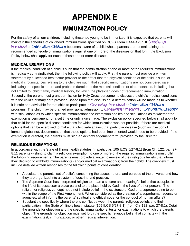# **APPENDIX E IMMUNIZATION POLICY**

For the safety of all our children, including those too young to be immunized, it is expected that parents will maintain the schedule of childhood immunizations specified on DCFS Form IL444-4737. If CrossWays Preschool or Celebration! Childcare becomes aware of a child whose parents are not maintaining the recommended schedule of immunizations against one or more of the diseases on that form, the Exclusion Policy below shall apply for each of those one or more diseases.

# **MEDICAL EXEMPTIONS**

If the medical condition of a child is such that the administration of one or more of the required immunizations is medically contraindicated, then the following policy will apply. First, the parent must provide a written statement by a licensed healthcare provider to the effect that the physical condition of the child is such, or medical circumstances relating to the child are such, that specific immunizations are not considered safe, indicating the specific nature and probable duration of the medical condition or circumstances, including, but not limited to, child/ family medical history, for which the physician does not recommend immunization. Secondly, the parent must grant permission for Holy Cross personnel to discuss the child's medical conditions with the child's primary care provider. Based upon that discussion, a determination will be made as to whether it is safe and advisable for that child to participate in CrossWays Preschool or Celebration! Childcare programs. The child may be granted provisional admission to CrossWays Preschool or Celebration! Childcare with stipulations as to which specific immunizations the exemption applies and stipulations as to whether the exemption is permanent, for a set time or until a given age. The exclusion policy specified below shall apply to that child for the specific disease conditions for which immunization was not possible. If there are medical options that can be exercised to make that child safe against that particular disease (such as injection of immune globulins), documentation that those options had been implemented would need to be provided. If the exemption is granted, the parents must sign an acknowledgement form, provided by the Director.

# **RELIGIOUS EXEMPTIONS**

In accordance with the State of Illinois health statutes (in particular, 105 ILCS 5/27-8.1) (from Ch. 122, par. 27- 8.1), parents wishing to claim a religious exemption to one or more of the required immunizations must fulfill the following requirements. The parents must provide a written overview of their religious beliefs that inform their decision to withhold immunization(s) and/or medical examination(s) from their child. The overview must include detailed written responses to the following points of consideration:

- Articulate the parents' set of beliefs concerning the cause, nature, and purpose of the universe and how they are organized into a system of doctrine and practice.
- The Supreme Court has interpreted religion to mean a sincere and meaningful belief that occupies in the life of its possessor a place parallel to the place held by God in the lives of other persons. The religion or religious concept need not include belief in the existence of God or a supreme being to be within the scope of the First Amendment. When considered as the creation of a superhuman agency or agencies, what informs the parents' spiritual and ethical code for the conduct of human affairs?
- Substantiate specifically where there is conflict between the parents' religious beliefs and their participation in the State of Illinois health statute (105 ILCS 5/27-8.1) (from Ch. 122, par. 27-8.1). Detail the grounds for objection and the specific immunizations, tests, or examinations to which the parents object. The grounds for objection must set forth the specific religious belief that conflicts with the examination, test, immunization, or other medical intervention.